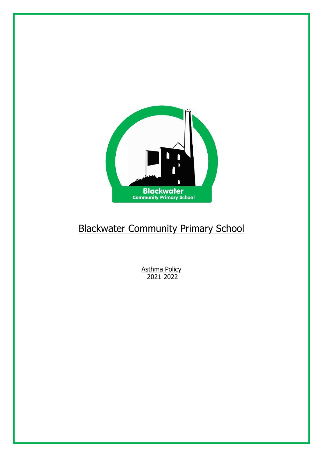

# Blackwater Community Primary School

Asthma Policy 2021-2022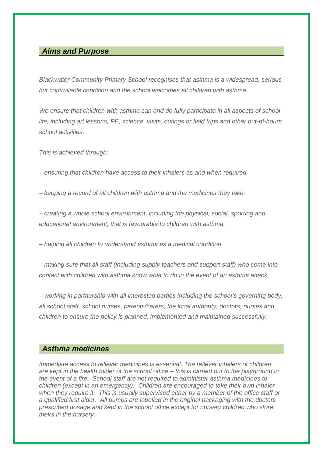# *Aims and Purpose*

*Blackwater Community Primary School recognises that asthma is a widespread, serious but controllable condition and the school welcomes all children with asthma.*

We ensure that children with asthma can and do fully participate in all aspects of school *life, including art lessons, PE, science, visits, outings or field trips and other out-of-hours school activities.*

*This is achieved through:*

*– ensuring that children have access to their inhalers as and when required.*

*– keeping a record of all children with asthma and the medicines they take.*

*– creating a whole school environment, including the physical, social, sporting and educational environment, that is favourable to children with asthma.*

*– helping all children to understand asthma as a medical condition.*

*– making sure that all staff (including supply teachers and support staff) who come into contact with children with asthma know what to do in the event of an asthma attack.*

*– working in partnership with all interested parties including the school's governing body, all school staff, school nurses, parents/carers, the local authority, doctors, nurses and children to ensure the policy is planned, implemented and maintained successfully.*

# *Asthma medicines*

*Immediate access to reliever medicines is essential. The reliever inhalers of children are kept in the health folder of the school office – this is carried out to the playground in the event of a fire. School staff are not required to administer asthma medicines to children (except in an emergency). Children are encouraged to take their own inhaler when they require it. This is usually supervised either by a member of the office staff or a qualified first aider. All pumps are labelled in the original packaging with the doctors prescribed dosage and kept in the school office except for nursery children who store theirs in the nursery.*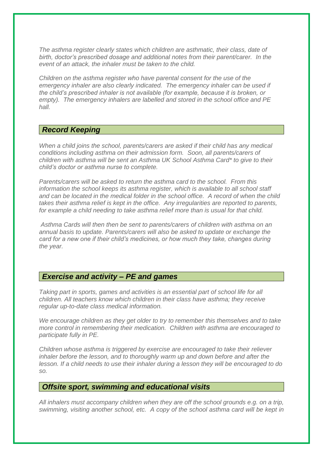*The asthma register clearly states which children are asthmatic, their class, date of birth, doctor's prescribed dosage and additional notes from their parent/carer. In the event of an attack, the inhaler must be taken to the child.*

*Children on the asthma register who have parental consent for the use of the emergency inhaler are also clearly indicated. The emergency inhaler can be used if the child's prescribed inhaler is not available (for example, because it is broken, or empty). The emergency inhalers are labelled and stored in the school office and PE hall.*

# *Record Keeping*

*When a child joins the school, parents/carers are asked if their child has any medical conditions including asthma on their admission form. Soon, all parents/carers of children with asthma will be sent an Asthma UK School Asthma Card\* to give to their child's doctor or asthma nurse to complete.* 

*Parents/carers will be asked to return the asthma card to the school. From this information the school keeps its asthma register, which is available to all school staff and can be located in the medical folder in the school office. A record of when the child takes their asthma relief is kept in the office. Any irregularities are reported to parents, for example a child needing to take asthma relief more than is usual for that child.*

*Asthma Cards will then then be sent to parents/carers of children with asthma on an annual basis to update. Parents/carers will also be asked to update or exchange the card for a new one if their child's medicines, or how much they take, changes during the year.*

# *Exercise and activity – PE and games*

*Taking part in sports, games and activities is an essential part of school life for all children. All teachers know which children in their class have asthma; they receive regular up-to-date class medical information.* 

*We encourage children as they get older to try to remember this themselves and to take more control in remembering their medication. Children with asthma are encouraged to participate fully in PE.*

*Children whose asthma is triggered by exercise are encouraged to take their reliever inhaler before the lesson, and to thoroughly warm up and down before and after the lesson. If a child needs to use their inhaler during a lesson they will be encouraged to do so.*

#### *Offsite sport, swimming and educational visits*

*All inhalers must accompany children when they are off the school grounds e.g. on a trip, swimming, visiting another school, etc. A copy of the school asthma card will be kept in*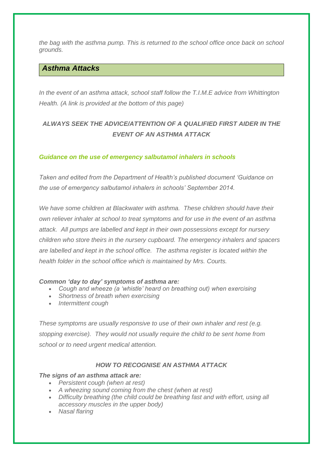*the bag with the asthma pump. This is returned to the school office once back on school grounds.*

# *Asthma Attacks*

In the event of an asthma attack, school staff follow the T.I.M.E advice from Whittington *Health. (A link is provided at the bottom of this page)*

# *ALWAYS SEEK THE ADVICE/ATTENTION OF A QUALIFIED FIRST AIDER IN THE EVENT OF AN ASTHMA ATTACK*

#### *Guidance on the use of emergency salbutamol inhalers in schools*

*Taken and edited from the Department of Health's published document 'Guidance on the use of emergency salbutamol inhalers in schools' September 2014.*

*We have some children at Blackwater with asthma. These children should have their own reliever inhaler at school to treat symptoms and for use in the event of an asthma attack. All pumps are labelled and kept in their own possessions except for nursery children who store theirs in the nursery cupboard. The emergency inhalers and spacers are labelled and kept in the school office. The asthma register is located within the health folder in the school office which is maintained by Mrs. Courts.*

#### *Common 'day to day' symptoms of asthma are:*

- *Cough and wheeze (a 'whistle' heard on breathing out) when exercising*
- *Shortness of breath when exercising*
- *Intermittent cough*

*These symptoms are usually responsive to use of their own inhaler and rest (e.g. stopping exercise). They would not usually require the child to be sent home from school or to need urgent medical attention.*

#### *HOW TO RECOGNISE AN ASTHMA ATTACK*

#### *The signs of an asthma attack are:*

- *Persistent cough (when at rest)*
- *A wheezing sound coming from the chest (when at rest)*
- *Difficulty breathing (the child could be breathing fast and with effort, using all accessory muscles in the upper body)*
- *Nasal flaring*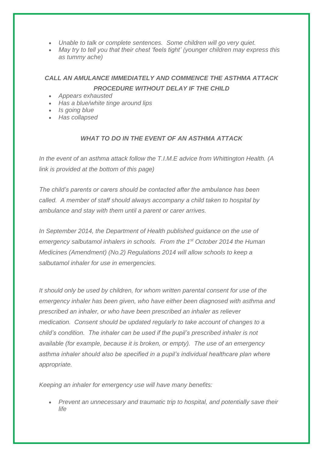- *Unable to talk or complete sentences. Some children will go very quiet.*
- *May try to tell you that their chest 'feels tight' (younger children may express this as tummy ache)*

# *CALL AN AMULANCE IMMEDIATELY AND COMMENCE THE ASTHMA ATTACK PROCEDURE WITHOUT DELAY IF THE CHILD*

- *Appears exhausted*
- *Has a blue/white tinge around lips*
- *Is going blue*
- *Has collapsed*

## *WHAT TO DO IN THE EVENT OF AN ASTHMA ATTACK*

*In the event of an asthma attack follow the T.I.M.E advice from Whittington Health. (A link is provided at the bottom of this page)*

*The child's parents or carers should be contacted after the ambulance has been called. A member of staff should always accompany a child taken to hospital by ambulance and stay with them until a parent or carer arrives.*

*In September 2014, the Department of Health published guidance on the use of emergency salbutamol inhalers in schools. From the 1st October 2014 the Human Medicines (Amendment) (No.2) Regulations 2014 will allow schools to keep a salbutamol inhaler for use in emergencies.*

*It should only be used by children, for whom written parental consent for use of the emergency inhaler has been given, who have either been diagnosed with asthma and prescribed an inhaler, or who have been prescribed an inhaler as reliever medication. Consent should be updated regularly to take account of changes to a child's condition. The inhaler can be used if the pupil's prescribed inhaler is not available (for example, because it is broken, or empty). The use of an emergency asthma inhaler should also be specified in a pupil's individual healthcare plan where appropriate.*

*Keeping an inhaler for emergency use will have many benefits:*

 *Prevent an unnecessary and traumatic trip to hospital, and potentially save their life*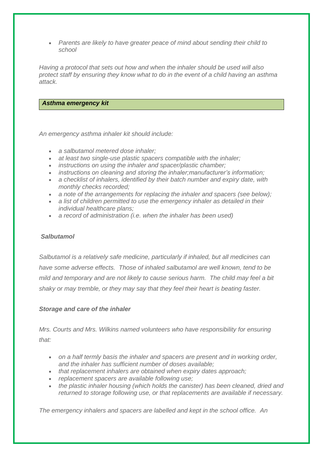*Parents are likely to have greater peace of mind about sending their child to school*

*Having a protocol that sets out how and when the inhaler should be used will also protect staff by ensuring they know what to do in the event of a child having an asthma attack.*

#### *Asthma emergency kit*

*An emergency asthma inhaler kit should include:*

- *a salbutamol metered dose inhaler;*
- *at least two single-use plastic spacers compatible with the inhaler;*
- *instructions on using the inhaler and spacer/plastic chamber;*
- *instructions on cleaning and storing the inhaler;manufacturer's information;*
- *a checklist of inhalers, identified by their batch number and expiry date, with monthly checks recorded;*
- *a note of the arrangements for replacing the inhaler and spacers (see below);*
- *a list of children permitted to use the emergency inhaler as detailed in their individual healthcare plans;*
- *a record of administration (i.e. when the inhaler has been used)*

## *Salbutamol*

*Salbutamol is a relatively safe medicine, particularly if inhaled, but all medicines can have some adverse effects. Those of inhaled salbutamol are well known, tend to be mild and temporary and are not likely to cause serious harm. The child may feel a bit shaky or may tremble, or they may say that they feel their heart is beating faster.*

## *Storage and care of the inhaler*

*Mrs. Courts and Mrs. Wilkins named volunteers who have responsibility for ensuring that:*

- *on a half termly basis the inhaler and spacers are present and in working order, and the inhaler has sufficient number of doses available;*
- *that replacement inhalers are obtained when expiry dates approach;*
- *replacement spacers are available following use;*
- *the plastic inhaler housing (which holds the canister) has been cleaned, dried and returned to storage following use, or that replacements are available if necessary.*

*The emergency inhalers and spacers are labelled and kept in the school office. An*